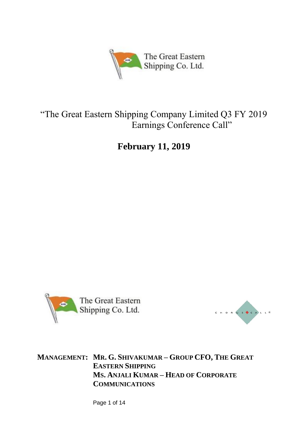

# "The Great Eastern Shipping Company Limited Q3 FY 2019 Earnings Conference Call"

**February 11, 2019**





**MANAGEMENT: MR. G. SHIVAKUMAR – GROUP CFO, THE GREAT EASTERN SHIPPING MS. ANJALI KUMAR – HEAD OF CORPORATE COMMUNICATIONS**

Page 1 of 14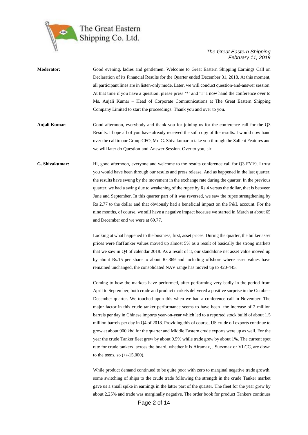

- **Moderator:** Good evening, ladies and gentlemen. Welcome to Great Eastern Shipping Earnings Call on Declaration of its Financial Results for the Quarter ended December 31, 2018. At this moment, all participant lines are in listen-only mode. Later, we will conduct question-and-answer session. At that time if you have a question, please press '\*' and '1' I now hand the conference over to Ms. Anjali Kumar – Head of Corporate Communications at The Great Eastern Shipping Company Limited to start the proceedings. Thank you and over to you.
- **Anjali Kumar**: Good afternoon, everybody and thank you for joining us for the conference call for the Q3 Results. I hope all of you have already received the soft copy of the results. I would now hand over the call to our Group CFO, Mr. G. Shivakumar to take you through the Salient Features and we will later do Question-and-Answer Session. Over to you, sir.
- **G. Shivakumar:** Hi, good afternoon, everyone and welcome to the results conference call for Q3 FY19. I trust you would have been through our results and press release. And as happened in the last quarter, the results have swung by the movement in the exchange rate during the quarter. In the previous quarter, we had a swing due to weakening of the rupee by Rs.4 versus the dollar, that is between June and September. In this quarter part of it was reversed, we saw the rupee strengthening by Rs 2.77 to the dollar and that obviously had a beneficial impact on the P&L account. For the nine months, of course, we still have a negative impact because we started in March at about 65 and December end we were at 69.77.

Looking at what happened to the business, first, asset prices. During the quarter, the bulker asset prices were flatTanker values moved up almost 5% as a result of basically the strong markets that we saw in Q4 of calendar 2018. As a result of it, our standalone net asset value moved up by about Rs.15 per share to about Rs.369 and including offshore where asset values have remained unchanged, the consolidated NAV range has moved up to 420-445.

Coming to how the markets have performed, after performing very badly in the period from April to September, both crude and product markets delivered a positive surprise in the October-December quarter. We touched upon this when we had a conference call in November. The major factor in this crude tanker performance seems to have been the increase of 2 million barrels per day in Chinese imports year-on-year which led to a reported stock build of about 1.5 million barrels per day in Q4 of 2018. Providing this of course, US crude oil exports continue to grow at about 900 kbd for the quarter and Middle Eastern crude exports were up as well. For the year the crude Tanker fleet grew by about 0.5% while trade grew by about 1%. The current spot rate for crude tankers across the board, whether it is Aframax, , Suezmax or VLCC, are down to the teens, so (+/-15,000).

While product demand continued to be quite poor with zero to marginal negative trade growth, some switching of ships to the crude trade following the strength in the crude Tanker market gave us a small spike in earnings in the latter part of the quarter. The fleet for the year grew by about 2.25% and trade was marginally negative. The order book for product Tankers continues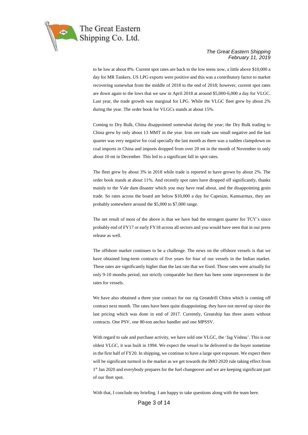

to be low at about 8%. Current spot rates are back to the low teens now, a little above \$10,000 a day for MR Tankers. US LPG exports were positive and this was a contributory factor to market recovering somewhat from the middle of 2018 to the end of 2018; however, current spot rates are down again to the lows that we saw in April 2018 at around \$5,000-6,000 a day for VLGC. Last year, the trade growth was marginal for LPG. While the VLGC fleet grew by about 2% during the year. The order book for VLGCs stands at about 15%.

Coming to Dry Bulk, China disappointed somewhat during the year; the Dry Bulk trading to China grew by only about 13 MMT in the year. Iron ore trade saw small negative and the last quarter was very negative for coal specially the last month as there was a sudden clampdown on coal imports in China and imports dropped from over 20 mt in the month of November to only about 10 mt in December. This led to a significant fall in spot rates.

The fleet grew by about 3% in 2018 while trade is reported to have grown by about 2%. The order book stands at about 11%. And recently spot rates have dropped off significantly, thanks mainly to the Vale dam disaster which you may have read about, and the disappointing grain trade. So rates across the board are below \$10,000 a day for Capesize, Kamsarmax, they are probably somewhere around the \$5,000 to \$7,000 range.

The net result of most of the above is that we have had the strongest quarter for TCY's since probably end of FY17 or early FY18 across all sectors and you would have seen that in our press release as well.

The offshore market continues to be a challenge. The news on the offshore vessels is that we have obtained long-term contracts of five years for four of our vessels in the Indian market. These rates are significantly higher than the last rate that we fixed. Those rates were actually for only 9-10 months period, not strictly comparable but there has been some improvement in the rates for vessels.

We have also obtained a three year contract for our rig Greatdrill Chitra which is coming off contract next month. The rates have been quite disappointing; they have not moved up since the last pricing which was done in end of 2017. Currently, Greatship has three assets without contracts. One PSV, one 80-ton anchor handler and one MPSSV.

With regard to sale and purchase activity, we have sold one VLGC, the 'Jag Vishnu'. This is our oldest VLGC, it was built in 1994. We expect the vessel to be delivered to the buyer sometime in the first half of FY20. In shipping, we continue to have a large spot exposure. We expect there will be significant turmoil in the market as we get towards the IMO 2020 rule taking effect from 1<sup>st</sup> Jan 2020 and everybody prepares for the fuel changeover and we are keeping significant part of our fleet spot.

With that, I conclude my briefing. I am happy to take questions along with the team here.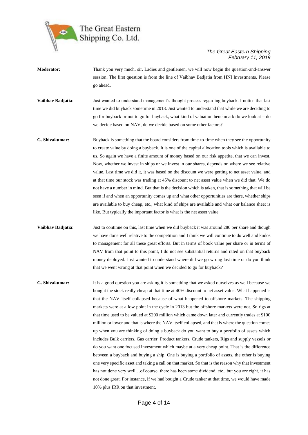

- **Moderator:** Thank you very much, sir. Ladies and gentlemen, we will now begin the question-and-answer session. The first question is from the line of Vaibhav Badjatia from HNI Investments. Please go ahead. **Vaibhav Badjatia**: Just wanted to understand management's thought process regarding buyback. I notice that last time we did buyback sometime in 2013. Just wanted to understand that while we are deciding to go for buyback or not to go for buyback, what kind of valuation benchmark do we look at  $-$  do we decide based on NAV, do we decide based on some other factors? **G. Shivakumar:** Buyback is something that the board considers from time-to-time when they see the opportunity to create value by doing a buyback. It is one of the capital allocation tools which is available to us. So again we have a finite amount of money based on our risk appetite, that we can invest. Now, whether we invest in ships or we invest in our shares, depends on where we see relative value. Last time we did it, it was based on the discount we were getting to net asset value, and at that time our stock was trading at 45% discount to net asset value when we did that. We do not have a number in mind. But that is the decision which is taken, that is something that will be seen if and when an opportunity comes up and what other opportunities are there, whether ships are available to buy cheap, etc., what kind of ships are available and what our balance sheet is like. But typically the important factor is what is the net asset value. **Vaibhav Badjatia**: Just to continue on this, last time when we did buyback it was around 280 per share and though we have done well relative to the competition and I think we will continue to do well and kudos to management for all these great efforts. But in terms of book value per share or in terms of NAV from that point to this point, I do not see substantial returns and rated on that buyback money deployed. Just wanted to understand where did we go wrong last time or do you think
- **G. Shivakumar:** It is a good question you are asking it is something that we asked ourselves as well because we bought the stock really cheap at that time at 40% discount to net asset value. What happened is that the NAV itself collapsed because of what happened to offshore markets. The shipping markets were at a low point in the cycle in 2013 but the offshore markets were not. So rigs at that time used to be valued at \$200 million which came down later and currently trades at \$100 million or lower and that is where the NAV itself collapsed, and that is where the question comes up when you are thinking of doing a buyback do you want to buy a portfolio of assets which includes Bulk carriers, Gas carrier, Product tankers, Crude tankers, Rigs and supply vessels or do you want one focused investment which maybe at a very cheap point. That is the difference between a buyback and buying a ship. One is buying a portfolio of assets, the other is buying one very specific asset and taking a call on that market. So that is the reason why that investment has not done very well…of course, there has been some dividend, etc., but you are right, it has not done great. For instance, if we had bought a Crude tanker at that time, we would have made 10% plus IRR on that investment.

that we went wrong at that point when we decided to go for buyback?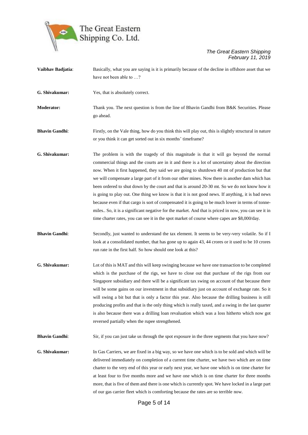

- **Vaibhav Badjatia**: Basically, what you are saying is it is primarily because of the decline in offshore asset that we have not been able to …?
- **G. Shivakumar:** Yes, that is absolutely correct.
- **Moderator:** Thank you. The next question is from the line of Bhavin Gandhi from B&K Securities. Please go ahead.

**Bhavin Gandhi:** Firstly, on the Vale thing, how do you think this will play out, this is slightly structural in nature or you think it can get sorted out in six months' timeframe?

- **G. Shivakumar:** The problem is with the tragedy of this magnitude is that it will go beyond the normal commercial things and the courts are in it and there is a lot of uncertainty about the direction now. When it first happened, they said we are going to shutdown 40 mt of production but that we will compensate a large part of it from our other mines. Now there is another dam which has been ordered to shut down by the court and that is around 20-30 mt. So we do not know how it is going to play out. One thing we know is that it is not good news. If anything, it is bad news because even if that cargo is sort of compensated it is going to be much lower in terms of tonnemiles.. So, it is a significant negative for the market. And that is priced in now, you can see it in time charter rates, you can see it in the spot market of course where capes are \$8,000/day.
- **Bhavin Gandhi:** Secondly, just wanted to understand the tax element. It seems to be very-very volatile. So if I look at a consolidated number, that has gone up to again 43, 44 crores or it used to be 10 crores run rate in the first half. So how should one look at this?
- **G. Shivakumar:** Lot of this is MAT and this will keep swinging because we have one transaction to be completed which is the purchase of the rigs, we have to close out that purchase of the rigs from our Singapore subsidiary and there will be a significant tax swing on account of that because there will be some gains on our investment in that subsidiary just on account of exchange rate. So it will swing a bit but that is only a factor this year. Also because the drilling business is still producing profits and that is the only thing which is really taxed, and a swing in the last quarter is also because there was a drilling loan revaluation which was a loss hitherto which now got reversed partially when the rupee strengthened.

**Bhavin Gandhi:** Sir, if you can just take us through the spot exposure in the three segments that you have now?

**G. Shivakumar:** In Gas Carriers, we are fixed in a big way, so we have one which is to be sold and which will be delivered immediately on completion of a current time charter, we have two which are on time charter to the very end of this year or early next year, we have one which is on time charter for at least four to five months more and we have one which is on time charter for three months more, that is five of them and there is one which is currently spot. We have locked in a large part of our gas carrier fleet which is comforting because the rates are so terrible now.

Page 5 of 14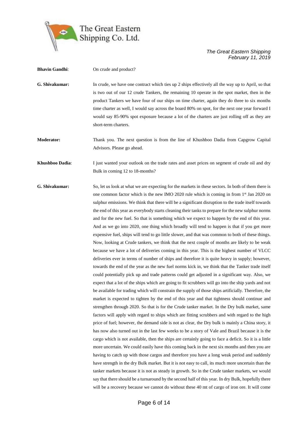

**Bhavin Gandhi:** On crude and product? **G. Shivakumar:** In crude, we have one contract which ties up 2 ships effectively all the way up to April, so that is two out of our 12 crude Tankers, the remaining 10 operate in the spot market, then in the product Tankers we have four of our ships on time charter, again they do three to six months time charter as well, I would say across the board 80% on spot, for the next one year forward I would say 85-90% spot exposure because a lot of the charters are just rolling off as they are short-term charters. **Moderator:** Thank you. The next question is from the line of Khushboo Dadia from Capgrow Capital Advisors. Please go ahead. **Khushboo Dadia**: I just wanted your outlook on the trade rates and asset prices on segment of crude oil and dry

Bulk in coming 12 to 18-months?

**G. Shivakumar:** So, let us look at what we are expecting for the markets in these sectors. In both of them there is one common factor which is the new IMO 2020 rule which is coming in from 1<sup>st</sup> Jan 2020 on sulphur emissions. We think that there will be a significant disruption to the trade itself towards the end of this year as everybody starts cleaning their tanks to prepare for the new sulphur norms and for the new fuel. So that is something which we expect to happen by the end of this year. And as we go into 2020, one thing which broadly will tend to happen is that if you get more expensive fuel, ships will tend to go little slower, and that was common to both of these things. Now, looking at Crude tankers, we think that the next couple of months are likely to be weak because we have a lot of deliveries coming in this year. This is the highest number of VLCC deliveries ever in terms of number of ships and therefore it is quite heavy in supply; however, towards the end of the year as the new fuel norms kick in, we think that the Tanker trade itself could potentially pick up and trade patterns could get adjusted in a significant way. Also, we expect that a lot of the ships which are going to fit scrubbers will go into the ship yards and not be available for trading which will constrain the supply of those ships artificially. Therefore, the market is expected to tighten by the end of this year and that tightness should continue and strengthen through 2020. So that is for the Crude tanker market. In the Dry bulk market, same factors will apply with regard to ships which are fitting scrubbers and with regard to the high price of fuel; however, the demand side is not as clear, the Dry bulk is mainly a China story, it has now also turned out in the last few weeks to be a story of Vale and Brazil because it is the cargo which is not available, then the ships are certainly going to face a deficit. So it is a little more uncertain. We could easily have this coming back in the next six months and then you are having to catch up with those cargos and therefore you have a long weak period and suddenly have strength in the dry Bulk market. But it is not easy to call, its much more uncertain than the tanker markets because it is not as steady in growth. So in the Crude tanker markets, we would say that there should be a turnaround by the second half of this year. In dry Bulk, hopefully there will be a recovery because we cannot do without these 40 mt of cargo of iron ore. It will come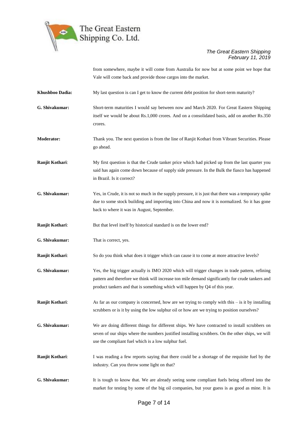

from somewhere, maybe it will come from Australia for now but at some point we hope that Vale will come back and provide those cargos into the market.

**Khushboo Dadia:** My last question is can I get to know the current debt position for short-term maturity?

**G. Shivakumar:** Short-term maturities I would say between now and March 2020. For Great Eastern Shipping itself we would be about Rs.1,000 crores. And on a consolidated basis, add on another Rs.350 crores.

**Moderator:** Thank you. The next question is from the line of Ranjit Kothari from Vibrant Securities. Please go ahead.

**Ranjit Kothari:** My first question is that the Crude tanker price which had picked up from the last quarter you said has again come down because of supply side pressure. In the Bulk the fiasco has happened in Brazil. Is it correct?

**G. Shivakumar:** Yes, in Crude, it is not so much in the supply pressure, it is just that there was a temporary spike due to some stock building and importing into China and now it is normalized. So it has gone back to where it was in August, September.

**Ranjit Kothari:** But that level itself by historical standard is on the lower end?

**G. Shivakumar:** That is correct, yes.

**Ranjit Kothari:** So do you think what does it trigger which can cause it to come at more attractive levels?

**G. Shivakumar:** Yes, the big trigger actually is IMO 2020 which will trigger changes in trade pattern, refining pattern and therefore we think will increase ton mile demand significantly for crude tankers and product tankers and that is something which will happen by Q4 of this year.

**Ranjit Kothari:** As far as our company is concerned, how are we trying to comply with this – is it by installing scrubbers or is it by using the low sulphur oil or how are we trying to position ourselves?

**G. Shivakumar:** We are doing different things for different ships. We have contracted to install scrubbers on seven of our ships where the numbers justified installing scrubbers. On the other ships, we will use the compliant fuel which is a low sulphur fuel.

**Ranjit Kothari:** I was reading a few reports saying that there could be a shortage of the requisite fuel by the industry. Can you throw some light on that?

**G. Shivakumar:** It is tough to know that. We are already seeing some compliant fuels being offered into the market for testing by some of the big oil companies, but your guess is as good as mine. It is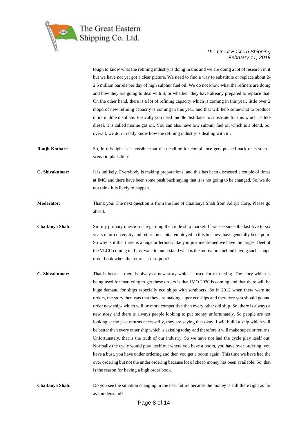

tough to know what the refining industry is doing in this and we are doing a lot of research in it but we have not yet got a clear picture. We need to find a way to substitute or replace about 2- 2.5 million barrels per day of high sulphur fuel oil. We do not know what the refiners are doing and how they are going to deal with it, or whether they have already prepared to replace that. On the other hand, there is a lot of refining capacity which is coming in this year, little over 2 mbpd of new refining capacity is coming in this year, and that will help somewhat to produce more middle distillate. Basically you need middle distillates to substitute for this which is like diesel, it is called marine gas oil. You can also have low sulphur fuel oil which is a blend. So, overall, we don't really know how the refining industry is dealing with it..

**Ranjit Kothari:** So, in this light is it possible that the deadline for compliance gets pushed back or is such a scenario plausible?

**G. Shivakumar:** It is unlikely. Everybody is making preparations, and this has been discussed a couple of times at IMO and there have been some push back saying that it is not going to be changed. So, we do not think it is likely to happen.

**Moderator:** Thank you. The next question is from the line of Chaitanya Shah from Aditya Corp. Please go ahead.

**Chaitanya Shah**: Sir, my primary question is regarding the crude ship market. If we see since the last five to six years return on equity and return on capital employed in this business have generally been poor. So why is it that there is a huge orderbook like you just mentioned we have the largest fleet of the VLCC coming in, I just want to understand what is the motivation behind having such a huge order book when the returns are so poor?

**G. Shivakumar:** That is because there is always a new story which is used for marketing. The story which is being used for marketing to get these orders is that IMO 2020 is coming and that there will be huge demand for ships especially eco ships with scrubbers. So in 2012 when there were no orders, the story then was that they are making super ecoships and therefore you should go and order new ships which will be more competitive than every other old ship. So, there is always a new story and there is always people looking to put money unfortunately. So people are not looking at the past returns necessarily, they are saying that okay, I will build a ship which will be better than every other ship which is existing today and therefore it will make superior returns. Unfortunately, that is the truth of our industry. So we have not had the cycle play itself out. Normally the cycle would play itself out where you have a boom, you have over ordering, you have a bust, you have under ordering and then you get a boom again. This time we have had the over ordering but not the under ordering because lot of cheap money has been available. So, that is the reason for having a high order book.

**Chaitanya Shah**: Do you see the situation changing in the near future because the money is still there right as far as I understand?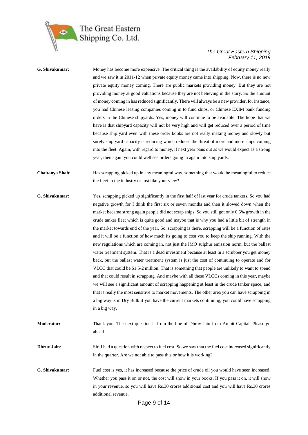

# **G. Shivakumar:** Money has become more expensive. The critical thing is the availability of equity money really and we saw it in 2011-12 when private equity money came into shipping. Now, there is no new private equity money coming. There are public markets providing money. But they are not providing money at good valuations because they are not believing in the story. So the amount of money coming in has reduced significantly. There will always be a new provider, for instance, you had Chinese leasing companies coming in to fund ships, or Chinese EXIM bank funding orders in the Chinese shipyards. Yes, money will continue to be available. The hope that we have is that shipyard capacity will not be very high and will get reduced over a period of time because ship yard even with these order books are not really making money and slowly but surely ship yard capacity is reducing which reduces the threat of more and more ships coming into the fleet. Again, with regard to money, if next year pans out as we would expect as a strong year, then again you could well see orders going in again into ship yards. **Chaitanya Shah**: Has scrapping picked up in any meaningful way, something that would be meaningful to reduce the fleet in the industry or just like your view? **G. Shivakumar:** Yes, scrapping picked up significantly in the first half of last year for crude tankers. So you had negative growth for I think the first six or seven months and then it slowed down when the market became strong again people did not scrap ships. So you still got only 0.5% growth in the crude tanker fleet which is quite good and maybe that is why you had a little bit of strength in the market towards end of the year. So, scrapping is there, scrapping will be a function of rates and it will be a function of how much its going to cost you to keep the ship running. With the new regulations which are coming in, not just the IMO sulphur emission norm, but the ballast water treatment system. That is a dead investment because at least in a scrubber you get money back, but the ballast water treatment system is just the cost of continuing to operate and for VLCC that could be \$1.5-2 million. That is something that people are unlikely to want to spend and that could result in scrapping. And maybe with all these VLCCs coming in this year, maybe we will see a significant amount of scrapping happening at least in the crude tanker space, and that is really the most sensitive to market movements. The other area you can have scrapping in a big way is in Dry Bulk if you have the current markets continuing, you could have scrapping in a big way. **Moderator:** Thank you. The next question is from the line of Dhruv Jain from Ambit Capital. Please go ahead. **Dhruv Jain**: Sir, I had a question with respect to fuel cost. So we saw that the fuel cost increased significantly in the quarter. Are we not able to pass this or how it is working? **G. Shivakumar:** Fuel cost is yes, it has increased because the price of crude oil you would have seen increased. Whether you pass it on or not, the cost will show in your books. If you pass it on, it will show in your revenue, so you will have Rs.30 crores additional cost and you will have Rs.30 crores additional revenue.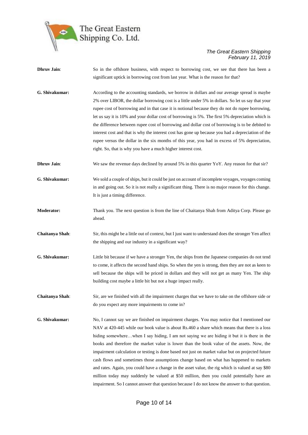

| <b>Dhruv Jain:</b>     | So in the offshore business, with respect to borrowing cost, we see that there has been a<br>significant uptick in borrowing cost from last year. What is the reason for that?                                                                                                                                                                                                                                                                                                                                                                                                                                                                                                                                                                                                                                                                                                            |
|------------------------|-------------------------------------------------------------------------------------------------------------------------------------------------------------------------------------------------------------------------------------------------------------------------------------------------------------------------------------------------------------------------------------------------------------------------------------------------------------------------------------------------------------------------------------------------------------------------------------------------------------------------------------------------------------------------------------------------------------------------------------------------------------------------------------------------------------------------------------------------------------------------------------------|
| G. Shivakumar:         | According to the accounting standards, we borrow in dollars and our average spread is maybe<br>2% over LIBOR, the dollar borrowing cost is a little under 5% in dollars. So let us say that your<br>rupee cost of borrowing and in that case it is notional because they do not do rupee borrowing,<br>let us say it is 10% and your dollar cost of borrowing is 5%. The first 5% depreciation which is<br>the difference between rupee cost of borrowing and dollar cost of borrowing is to be debited to<br>interest cost and that is why the interest cost has gone up because you had a depreciation of the<br>rupee versus the dollar in the six months of this year, you had in excess of 5% depreciation,<br>right. So, that is why you have a much higher interest cost.                                                                                                          |
| <b>Dhruv Jain:</b>     | We saw the revenue days declined by around 5% in this quarter YoY. Any reason for that sir?                                                                                                                                                                                                                                                                                                                                                                                                                                                                                                                                                                                                                                                                                                                                                                                               |
| G. Shivakumar:         | We sold a couple of ships, but it could be just on account of incomplete voyages, voyages coming<br>in and going out. So it is not really a significant thing. There is no major reason for this change.<br>It is just a timing difference.                                                                                                                                                                                                                                                                                                                                                                                                                                                                                                                                                                                                                                               |
| <b>Moderator:</b>      | Thank you. The next question is from the line of Chaitanya Shah from Aditya Corp. Please go<br>ahead.                                                                                                                                                                                                                                                                                                                                                                                                                                                                                                                                                                                                                                                                                                                                                                                     |
| <b>Chaitanya Shah:</b> | Sir, this might be a little out of context, but I just want to understand does the stronger Yen affect<br>the shipping and our industry in a significant way?                                                                                                                                                                                                                                                                                                                                                                                                                                                                                                                                                                                                                                                                                                                             |
| G. Shivakumar:         | Little bit because if we have a stronger Yen, the ships from the Japanese companies do not tend<br>to come, it affects the second hand ships. So when the yen is strong, then they are not as keen to<br>sell because the ships will be priced in dollars and they will not get as many Yen. The ship<br>building cost maybe a little bit but not a huge impact really.                                                                                                                                                                                                                                                                                                                                                                                                                                                                                                                   |
| Chaitanya Shah:        | Sir, are we finished with all the impairment charges that we have to take on the offshore side or<br>do you expect any more impairments to come in?                                                                                                                                                                                                                                                                                                                                                                                                                                                                                                                                                                                                                                                                                                                                       |
| G. Shivakumar:         | No, I cannot say we are finished on impairment charges. You may notice that I mentioned our<br>NAV at 420-445 while our book value is about Rs.460 a share which means that there is a loss<br>hiding somewherewhen I say hiding, I am not saying we are hiding it but it is there in the<br>books and therefore the market value is lower than the book value of the assets. Now, the<br>impairment calculation or testing is done based not just on market value but on projected future<br>cash flows and sometimes those assumptions change based on what has happened to markets<br>and rates. Again, you could have a change in the asset value, the rig which is valued at say \$80<br>million today may suddenly be valued at \$50 million, then you could potentially have an<br>impairment. So I cannot answer that question because I do not know the answer to that question. |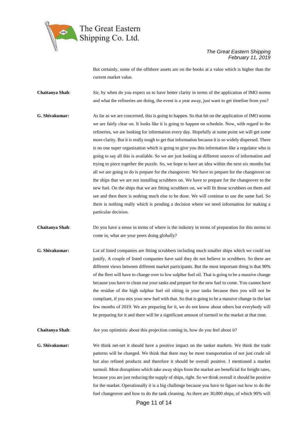

But certainly, some of the offshore assets are on the books at a value which is higher than the current market value.

**Chaitanya Shah**: Sir, by when do you expect us to have better clarity in terms of the application of IMO norms and what the refineries are doing, the event is a year away, just want to get timeline from you?

**G. Shivakumar:** As far as we are concerned, this is going to happen. So that bit on the application of IMO norms we are fairly clear on. It looks like it is going to happen on schedule. Now, with regard to the refineries, we are looking for information every day. Hopefully at some point we will get some more clarity. But it is really tough to get that information because it is so widely dispersed. There is no one super organization which is going to give you this information like a regulator who is going to say all this is available. So we are just looking at different sources of information and trying to piece together the puzzle. So, we hope to have an idea within the next six months but all we are going to do is prepare for the changeover. We have to prepare for the changeover on the ships that we are not installing scrubbers on. We have to prepare for the changeover to the new fuel. On the ships that we are fitting scrubbers on, we will fit those scrubbers on them and see and then there is nothing much else to be done. We will continue to use the same fuel. So there is nothing really which is pending a decision where we need information for making a particular decision.

**Chaitanya Shah**: Do you have a sense in terms of where is the industry in terms of preparation for this norms to come in, what are your peers doing globally?

**G. Shivakumar:** Lot of listed companies are fitting scrubbers including much smaller ships which we could not justify, A couple of listed companies have said they do not believe in scrubbers. So there are different views between different market participants. But the most important thing is that 90% of the fleet will have to change over to low sulphur fuel oil. That is going to be a massive change because you have to clean out your tanks and prepare for the new fuel to come. You cannot have the residue of the high sulphur fuel oil sitting in your tanks because then you will not be compliant, if you mix your new fuel with that. So that is going to be a massive change in the last few months of 2019. We are preparing for it, we do not know about others but everybody will be preparing for it and there will be a significant amount of turmoil in the market at that time.

**Chaitanya Shah**: Are you optimistic about this projection coming in, how do you feel about it?

**G. Shivakumar:** We think net-net it should have a positive impact on the tanker markets. We think the trade patterns will be changed. We think that there may be more transportation of not just crude oil but also refined products and therefore it should be overall positive. I mentioned a market turmoil. Most disruptions which take away ships from the market are beneficial for freight rates, because you are just reducing the supply of ships, right. So we think overall it should be positive for the market. Operationally it is a big challenge because you have to figure out how to do the fuel changeover and how to do the tank cleaning. As there are 30,000 ships, of which 90% will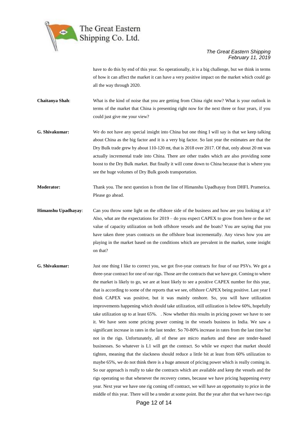

have to do this by end of this year. So operationally, it is a big challenge, but we think in terms of how it can affect the market it can have a very positive impact on the market which could go all the way through 2020.

**Chaitanya Shah**: What is the kind of noise that you are getting from China right now? What is your outlook in terms of the market that China is presenting right now for the next three or four years, if you could just give me your view?

- **G. Shivakumar:** We do not have any special insight into China but one thing I will say is that we keep talking about China as the big factor and it is a very big factor. So last year the estimates are that the Dry Bulk trade grew by about 110-120 mt, that is 2018 over 2017. Of that, only about 20 mt was actually incremental trade into China. There are other trades which are also providing some boost to the Dry Bulk market. But finally it will come down to China because that is where you see the huge volumes of Dry Bulk goods transportation.
- **Moderator:** Thank you. The next question is from the line of Himanshu Upadhayay from DHFL Pramerica. Please go ahead.
- **Himanshu Upadhayay:** Can you throw some light on the offshore side of the business and how are you looking at it? Also, what are the expectations for 2019 – do you expect CAPEX to grow from here or the net value of capacity utilization on both offshore vessels and the boats? You are saying that you have taken three years contracts on the offshore boat incrementally. Any views how you are playing in the market based on the conditions which are prevalent in the market, some insight on that?
- **G. Shivakumar:** Just one thing I like to correct you, we got five-year contracts for four of our PSVs. We got a three-year contract for one of our rigs. Those are the contracts that we have got. Coming to where the market is likely to go, we are at least likely to see a positive CAPEX number for this year, that is according to some of the reports that we see, offshore CAPEX being positive. Last year I think CAPEX was positive, but it was mainly onshore. So, you will have utilization improvements happening which should take utilization, still utilization is below 60%, hopefully take utilization up to at least 65%. . Now whether this results in pricing power we have to see it. We have seen some pricing power coming in the vessels business in India. We saw a significant increase in rates in the last tender. So 70-80% increase in rates from the last time but not in the rigs. Unfortunately, all of these are micro markets and these are tender-based businesses. So whatever is L1 will get the contract. So while we expect that market should tighten, meaning that the slackness should reduce a little bit at least from 60% utilization to maybe 65%, we do not think there is a huge amount of pricing power which is really coming in. So our approach is really to take the contracts which are available and keep the vessels and the rigs operating so that whenever the recovery comes, because we have pricing happening every year. Next year we have one rig coming off contract, we will have an opportunity to price in the middle of this year. There will be a tender at some point. But the year after that we have two rigs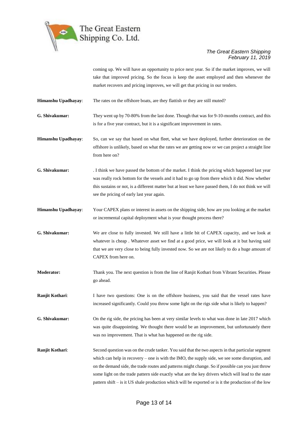

coming up. We will have an opportunity to price next year. So if the market improves, we will take that improved pricing. So the focus is keep the asset employed and then whenever the market recovers and pricing improves, we will get that pricing in our tenders.

**Himanshu Upadhayay:** The rates on the offshore boats, are they flattish or they are still muted?

**G. Shivakumar:** They went up by 70-80% from the last done. Though that was for 9-10-months contract, and this is for a five year contract, but it is a significant improvement in rates.

**Himanshu Upadhayay**: So, can we say that based on what fleet, what we have deployed, further deterioration on the offshore is unlikely, based on what the rates we are getting now or we can project a straight line from here on?

**G. Shivakumar:** . I think we have passed the bottom of the market. I think the pricing which happened last year was really rock bottom for the vessels and it had to go up from there which it did. Now whether this sustains or not, is a different matter but at least we have passed them, I do not think we will see the pricing of early last year again.

**Himanshu Upadhayay**: Your CAPEX plans or interest in assets on the shipping side, how are you looking at the market or incremental capital deployment what is your thought process there?

**G. Shivakumar:** We are close to fully invested. We still have a little bit of CAPEX capacity, and we look at whatever is cheap . Whatever asset we find at a good price, we will look at it but having said that we are very close to being fully invested now. So we are not likely to do a huge amount of CAPEX from here on.

**Moderator:** Thank you. The next question is from the line of Ranjit Kothari from Vibrant Securities. Please go ahead.

**Ranjit Kothari:** I have two questions: One is on the offshore business, you said that the vessel rates have increased significantly. Could you throw some light on the rigs side what is likely to happen?

**G. Shivakumar:** On the rig side, the pricing has been at very similar levels to what was done in late 2017 which was quite disappointing. We thought there would be an improvement, but unfortunately there was no improvement. That is what has happened on the rig side.

**Ranjit Kothari:** Second question was on the crude tanker. You said that the two aspects in that particular segment which can help in recovery – one is with the IMO, the supply side, we see some disruption, and on the demand side, the trade routes and patterns might change. So if possible can you just throw some light on the trade pattern side exactly what are the key drivers which will lead to the state pattern shift – is it US shale production which will be exported or is it the production of the low